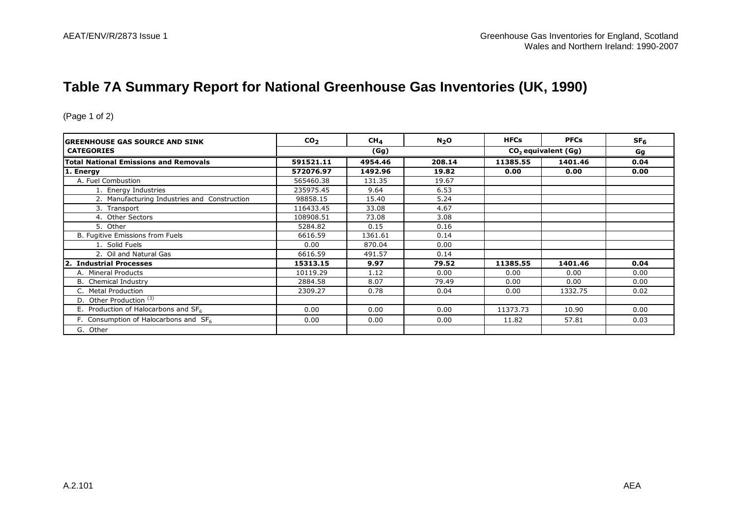# **Table 7A Summary Report for National Greenhouse Gas Inventories (UK, 1990)**

| IGREENHOUSE GAS SOURCE AND SINK                   | CO <sub>2</sub> | CH <sub>4</sub> | N <sub>2</sub> O | <b>HFCs</b>                     | <b>PFCs</b> | SF <sub>6</sub> |
|---------------------------------------------------|-----------------|-----------------|------------------|---------------------------------|-------------|-----------------|
| <b>CATEGORIES</b>                                 | (Gg)            |                 |                  | CO <sub>2</sub> equivalent (Gg) |             | Gg              |
| <b>Total National Emissions and Removals</b>      | 591521.11       | 4954.46         | 208.14           | 11385.55                        | 1401.46     | 0.04            |
| 1. Energy                                         | 572076.97       | 1492.96         | 19.82            | 0.00                            | 0.00        | 0.00            |
| A. Fuel Combustion                                | 565460.38       | 131.35          | 19.67            |                                 |             |                 |
| 1. Energy Industries                              | 235975.45       | 9.64            | 6.53             |                                 |             |                 |
| 2. Manufacturing Industries and Construction      | 98858.15        | 15.40           | 5.24             |                                 |             |                 |
| 3. Transport                                      | 116433.45       | 33.08           | 4.67             |                                 |             |                 |
| 4. Other Sectors                                  | 108908.51       | 73.08           | 3.08             |                                 |             |                 |
| 5. Other                                          | 5284.82         | 0.15            | 0.16             |                                 |             |                 |
| B. Fugitive Emissions from Fuels                  | 6616.59         | 1361.61         | 0.14             |                                 |             |                 |
| 1. Solid Fuels                                    | 0.00            | 870.04          | 0.00             |                                 |             |                 |
| 2. Oil and Natural Gas                            | 6616.59         | 491.57          | 0.14             |                                 |             |                 |
| 2. Industrial Processes                           | 15313.15        | 9.97            | 79.52            | 11385.55                        | 1401.46     | 0.04            |
| A. Mineral Products                               | 10119.29        | 1.12            | 0.00             | 0.00                            | 0.00        | 0.00            |
| B. Chemical Industry                              | 2884.58         | 8.07            | 79.49            | 0.00                            | 0.00        | 0.00            |
| C. Metal Production                               | 2309.27         | 0.78            | 0.04             | 0.00                            | 1332.75     | 0.02            |
| D. Other Production <sup>(3)</sup>                |                 |                 |                  |                                 |             |                 |
| E. Production of Halocarbons and $SF6$            | 0.00            | 0.00            | 0.00             | 11373.73                        | 10.90       | 0.00            |
| F. Consumption of Halocarbons and SF <sub>6</sub> | 0.00            | 0.00            | 0.00             | 11.82                           | 57.81       | 0.03            |
| G. Other                                          |                 |                 |                  |                                 |             |                 |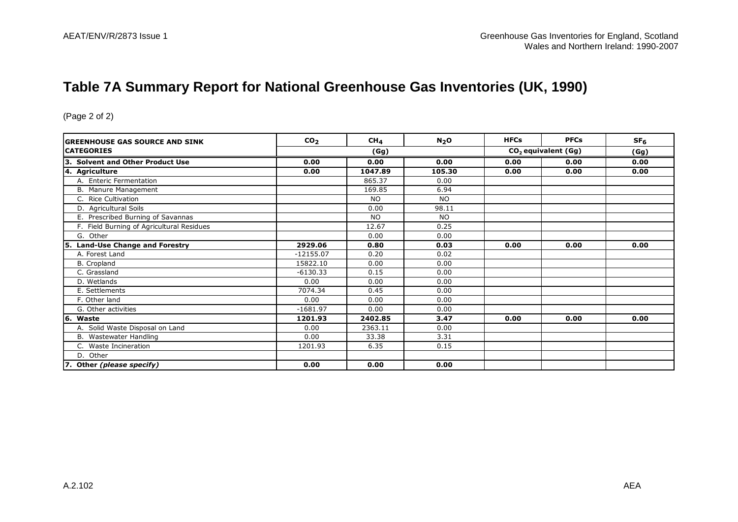# **Table 7A Summary Report for National Greenhouse Gas Inventories (UK, 1990)**

| GREENHOUSE GAS SOURCE AND SINK             | CO <sub>2</sub> | CH <sub>4</sub> | N <sub>2</sub> O | <b>HFCs</b> | <b>PFCs</b>           | SF <sub>6</sub> |
|--------------------------------------------|-----------------|-----------------|------------------|-------------|-----------------------|-----------------|
| <b>CATEGORIES</b>                          |                 | (Gg)            |                  |             | $CO2$ equivalent (Gg) |                 |
| 3. Solvent and Other Product Use           | 0.00            | 0.00            | 0.00             | 0.00        | 0.00                  | (Gg)<br>0.00    |
| 4. Agriculture                             | 0.00            | 1047.89         | 105.30           | 0.00        | 0.00                  | 0.00            |
| A. Enteric Fermentation                    |                 | 865.37          | 0.00             |             |                       |                 |
| B. Manure Management                       |                 | 169.85          | 6.94             |             |                       |                 |
| C. Rice Cultivation                        |                 | <b>NO</b>       | <b>NO</b>        |             |                       |                 |
| D. Agricultural Soils                      |                 | 0.00            | 98.11            |             |                       |                 |
| E. Prescribed Burning of Savannas          |                 | <b>NO</b>       | <b>NO</b>        |             |                       |                 |
| F. Field Burning of Agricultural Residues  |                 | 12.67           | 0.25             |             |                       |                 |
| G. Other                                   |                 | 0.00            | 0.00             |             |                       |                 |
| <b>Land-Use Change and Forestry</b><br>15. | 2929.06         | 0.80            | 0.03             | 0.00        | 0.00                  | 0.00            |
| A. Forest Land                             | $-12155.07$     | 0.20            | 0.02             |             |                       |                 |
| B. Cropland                                | 15822.10        | 0.00            | 0.00             |             |                       |                 |
| C. Grassland                               | $-6130.33$      | 0.15            | 0.00             |             |                       |                 |
| D. Wetlands                                | 0.00            | 0.00            | 0.00             |             |                       |                 |
| E. Settlements                             | 7074.34         | 0.45            | 0.00             |             |                       |                 |
| F. Other land                              | 0.00            | 0.00            | 0.00             |             |                       |                 |
| G. Other activities                        | $-1681.97$      | 0.00            | 0.00             |             |                       |                 |
| 16.<br>Waste                               | 1201.93         | 2402.85         | 3.47             | 0.00        | 0.00                  | 0.00            |
| A. Solid Waste Disposal on Land            | 0.00            | 2363.11         | 0.00             |             |                       |                 |
| B. Wastewater Handling                     | 0.00            | 33.38           | 3.31             |             |                       |                 |
| C. Waste Incineration                      | 1201.93         | 6.35            | 0.15             |             |                       |                 |
| D. Other                                   |                 |                 |                  |             |                       |                 |
| 7. Other (please specify)                  | 0.00            | 0.00            | 0.00             |             |                       |                 |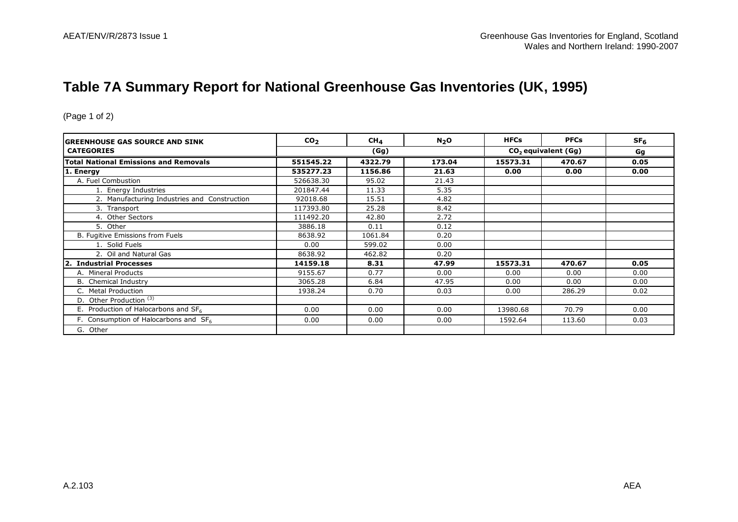# **Table 7A Summary Report for National Greenhouse Gas Inventories (UK, 1995)**

| IGREENHOUSE GAS SOURCE AND SINK                   | CO <sub>2</sub> | CH <sub>4</sub> | N <sub>2</sub> O | <b>HFCs</b> | <b>PFCs</b>           | SF <sub>6</sub> |
|---------------------------------------------------|-----------------|-----------------|------------------|-------------|-----------------------|-----------------|
| <b>CATEGORIES</b>                                 |                 | (Gg)            |                  |             | $CO2$ equivalent (Gg) |                 |
| <b>Total National Emissions and Removals</b>      | 551545.22       | 4322.79         | 173.04           | 15573.31    | 470.67                | 0.05            |
| 1. Energy                                         | 535277.23       | 1156.86         | 21.63            | 0.00        | 0.00                  | 0.00            |
| A. Fuel Combustion                                | 526638.30       | 95.02           | 21.43            |             |                       |                 |
| 1. Energy Industries                              | 201847.44       | 11.33           | 5.35             |             |                       |                 |
| 2. Manufacturing Industries and Construction      | 92018.68        | 15.51           | 4.82             |             |                       |                 |
| 3. Transport                                      | 117393.80       | 25.28           | 8.42             |             |                       |                 |
| 4. Other Sectors                                  | 111492.20       | 42.80           | 2.72             |             |                       |                 |
| 5. Other                                          | 3886.18         | 0.11            | 0.12             |             |                       |                 |
| B. Fugitive Emissions from Fuels                  | 8638.92         | 1061.84         | 0.20             |             |                       |                 |
| 1. Solid Fuels                                    | 0.00            | 599.02          | 0.00             |             |                       |                 |
| 2. Oil and Natural Gas                            | 8638.92         | 462.82          | 0.20             |             |                       |                 |
| 2. Industrial Processes                           | 14159.18        | 8.31            | 47.99            | 15573.31    | 470.67                | 0.05            |
| A. Mineral Products                               | 9155.67         | 0.77            | 0.00             | 0.00        | 0.00                  | 0.00            |
| B. Chemical Industry                              | 3065.28         | 6.84            | 47.95            | 0.00        | 0.00                  | 0.00            |
| C. Metal Production                               | 1938.24         | 0.70            | 0.03             | 0.00        | 286.29                | 0.02            |
| D. Other Production <sup>(3)</sup>                |                 |                 |                  |             |                       |                 |
| E. Production of Halocarbons and $SF6$            | 0.00            | 0.00            | 0.00             | 13980.68    | 70.79                 | 0.00            |
| F. Consumption of Halocarbons and SF <sub>6</sub> | 0.00            | 0.00            | 0.00             | 1592.64     | 113.60                | 0.03            |
| G. Other                                          |                 |                 |                  |             |                       |                 |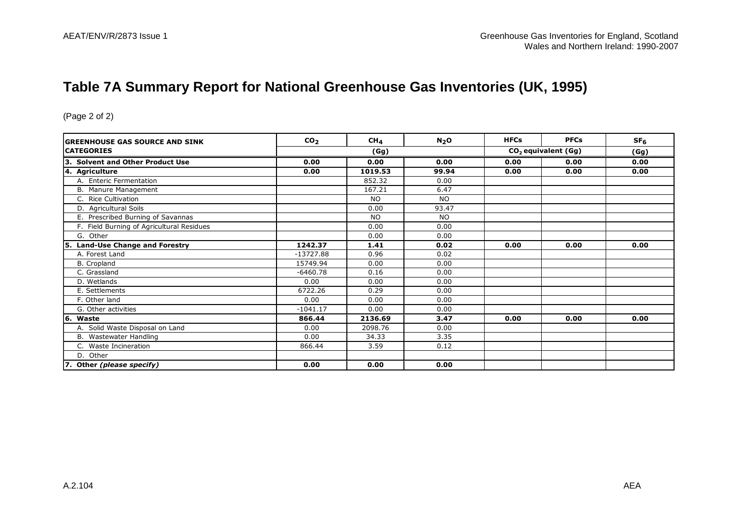# **Table 7A Summary Report for National Greenhouse Gas Inventories (UK, 1995)**

| GREENHOUSE GAS SOURCE AND SINK             | CO <sub>2</sub> | CH <sub>4</sub> | N <sub>2</sub> O | <b>HFCs</b> | <b>PFCs</b>           | SF <sub>6</sub> |
|--------------------------------------------|-----------------|-----------------|------------------|-------------|-----------------------|-----------------|
| <b>CATEGORIES</b>                          |                 | (Gg)            |                  |             | $CO2$ equivalent (Gg) |                 |
| 3. Solvent and Other Product Use           | 0.00            | 0.00            | 0.00             | 0.00        | 0.00                  | (Gg)<br>0.00    |
| 4. Agriculture                             | 0.00            | 1019.53         | 99.94            | 0.00        | 0.00                  | 0.00            |
| A. Enteric Fermentation                    |                 | 852.32          | 0.00             |             |                       |                 |
| B. Manure Management                       |                 | 167.21          | 6.47             |             |                       |                 |
| C. Rice Cultivation                        |                 | <b>NO</b>       | <b>NO</b>        |             |                       |                 |
| D. Agricultural Soils                      |                 | 0.00            | 93.47            |             |                       |                 |
| E. Prescribed Burning of Savannas          |                 | <b>NO</b>       | <b>NO</b>        |             |                       |                 |
| F. Field Burning of Agricultural Residues  |                 | 0.00            | 0.00             |             |                       |                 |
| G. Other                                   |                 | 0.00            | 0.00             |             |                       |                 |
| <b>Land-Use Change and Forestry</b><br>15. | 1242.37         | 1.41            | 0.02             | 0.00        | 0.00                  | 0.00            |
| A. Forest Land                             | $-13727.88$     | 0.96            | 0.02             |             |                       |                 |
| B. Cropland                                | 15749.94        | 0.00            | 0.00             |             |                       |                 |
| C. Grassland                               | $-6460.78$      | 0.16            | 0.00             |             |                       |                 |
| D. Wetlands                                | 0.00            | 0.00            | 0.00             |             |                       |                 |
| E. Settlements                             | 6722.26         | 0.29            | 0.00             |             |                       |                 |
| F. Other land                              | 0.00            | 0.00            | 0.00             |             |                       |                 |
| G. Other activities                        | $-1041.17$      | 0.00            | 0.00             |             |                       |                 |
| 16.<br>Waste                               | 866.44          | 2136.69         | 3.47             | 0.00        | 0.00                  | 0.00            |
| A. Solid Waste Disposal on Land            | 0.00            | 2098.76         | 0.00             |             |                       |                 |
| B. Wastewater Handling                     | 0.00            | 34.33           | 3.35             |             |                       |                 |
| C. Waste Incineration                      | 866.44          | 3.59            | 0.12             |             |                       |                 |
| D. Other                                   |                 |                 |                  |             |                       |                 |
| 7. Other (please specify)                  | 0.00            | 0.00            | 0.00             |             |                       |                 |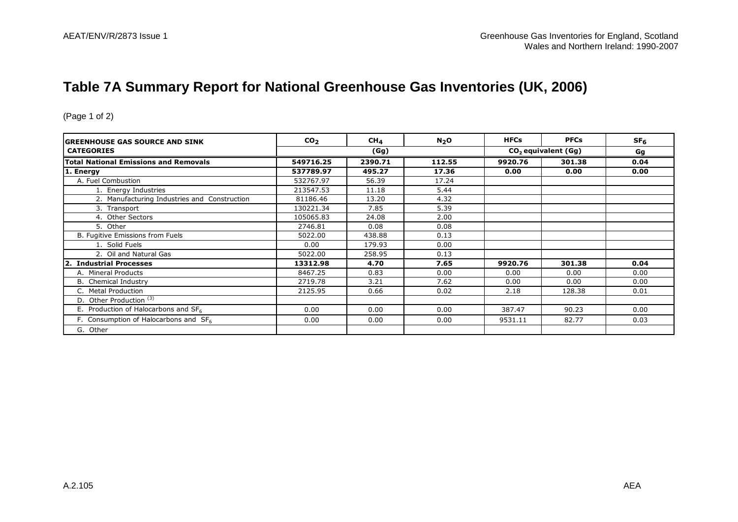### **Table 7A Summary Report for National Greenhouse Gas Inventories (UK, 2006)**

| IGREENHOUSE GAS SOURCE AND SINK                   | CO <sub>2</sub> | CH <sub>4</sub> | N <sub>2</sub> O | <b>HFCs</b>                     | <b>PFCs</b> | SF <sub>6</sub> |
|---------------------------------------------------|-----------------|-----------------|------------------|---------------------------------|-------------|-----------------|
| <b>CATEGORIES</b>                                 | (Gg)            |                 |                  | CO <sub>2</sub> equivalent (Gg) |             | Gg              |
| <b>Total National Emissions and Removals</b>      | 549716.25       | 2390.71         | 112.55           | 9920.76                         | 301.38      | 0.04            |
| 1. Energy                                         | 537789.97       | 495.27          | 17.36            | 0.00                            | 0.00        | 0.00            |
| A. Fuel Combustion                                | 532767.97       | 56.39           | 17.24            |                                 |             |                 |
| 1. Energy Industries                              | 213547.53       | 11.18           | 5.44             |                                 |             |                 |
| 2. Manufacturing Industries and Construction      | 81186.46        | 13.20           | 4.32             |                                 |             |                 |
| 3. Transport                                      | 130221.34       | 7.85            | 5.39             |                                 |             |                 |
| 4. Other Sectors                                  | 105065.83       | 24.08           | 2.00             |                                 |             |                 |
| 5. Other                                          | 2746.81         | 0.08            | 0.08             |                                 |             |                 |
| B. Fugitive Emissions from Fuels                  | 5022.00         | 438.88          | 0.13             |                                 |             |                 |
| 1. Solid Fuels                                    | 0.00            | 179.93          | 0.00             |                                 |             |                 |
| 2. Oil and Natural Gas                            | 5022.00         | 258.95          | 0.13             |                                 |             |                 |
| 2. Industrial Processes                           | 13312.98        | 4.70            | 7.65             | 9920.76                         | 301.38      | 0.04            |
| A. Mineral Products                               | 8467.25         | 0.83            | 0.00             | 0.00                            | 0.00        | 0.00            |
| B. Chemical Industry                              | 2719.78         | 3.21            | 7.62             | 0.00                            | 0.00        | 0.00            |
| C. Metal Production                               | 2125.95         | 0.66            | 0.02             | 2.18                            | 128.38      | 0.01            |
| D. Other Production <sup>(3)</sup>                |                 |                 |                  |                                 |             |                 |
| E. Production of Halocarbons and $SF6$            | 0.00            | 0.00            | 0.00             | 387.47                          | 90.23       | 0.00            |
| F. Consumption of Halocarbons and SF <sub>6</sub> | 0.00            | 0.00            | 0.00             | 9531.11                         | 82.77       | 0.03            |
| G. Other                                          |                 |                 |                  |                                 |             |                 |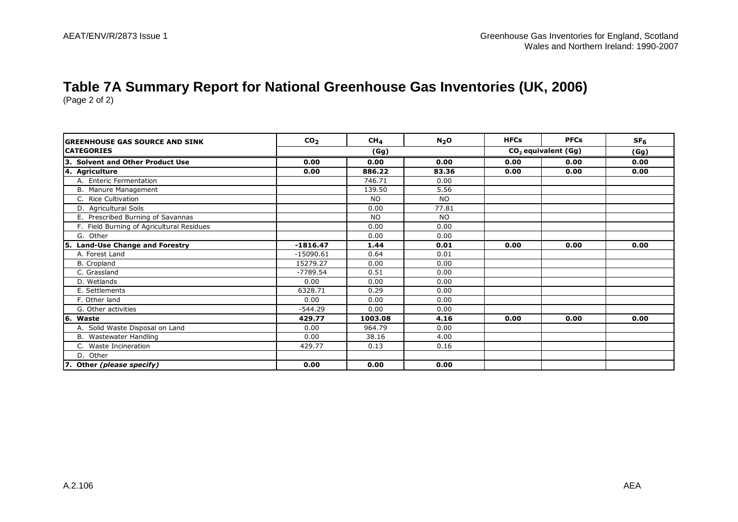# **Table 7A Summary Report for National Greenhouse Gas Inventories (UK, 2006)**

| <b>GREENHOUSE GAS SOURCE AND SINK</b>     | CO <sub>2</sub> | CH <sub>4</sub> | N <sub>2</sub> O | <b>HFCs</b> | <b>PFCs</b>                     | SF <sub>6</sub> |
|-------------------------------------------|-----------------|-----------------|------------------|-------------|---------------------------------|-----------------|
| <b>CATEGORIES</b>                         |                 | (Gg)            |                  |             | CO <sub>2</sub> equivalent (Gg) |                 |
| 3. Solvent and Other Product Use          | 0.00            | 0.00            | 0.00             | 0.00        | 0.00                            | 0.00            |
| 4. Agriculture                            | 0.00            | 886.22          | 83.36            | 0.00        | 0.00                            | 0.00            |
| A. Enteric Fermentation                   |                 | 746.71          | 0.00             |             |                                 |                 |
| B. Manure Management                      |                 | 139.50          | 5.56             |             |                                 |                 |
| C. Rice Cultivation                       |                 | NO.             | <b>NO</b>        |             |                                 |                 |
| D. Agricultural Soils                     |                 | 0.00            | 77.81            |             |                                 |                 |
| E. Prescribed Burning of Savannas         |                 | <b>NO</b>       | <b>NO</b>        |             |                                 |                 |
| F. Field Burning of Agricultural Residues |                 | 0.00            | 0.00             |             |                                 |                 |
| G. Other                                  |                 | 0.00            | 0.00             |             |                                 |                 |
| 5. Land-Use Change and Forestry           | $-1816.47$      | 1.44            | 0.01             | 0.00        | 0.00                            | 0.00            |
| A. Forest Land                            | $-15090.61$     | 0.64            | 0.01             |             |                                 |                 |
| B. Cropland                               | 15279.27        | 0.00            | 0.00             |             |                                 |                 |
| C. Grassland                              | $-7789.54$      | 0.51            | 0.00             |             |                                 |                 |
| D. Wetlands                               | 0.00            | 0.00            | 0.00             |             |                                 |                 |
| E. Settlements                            | 6328.71         | 0.29            | 0.00             |             |                                 |                 |
| F. Other land                             | 0.00            | 0.00            | 0.00             |             |                                 |                 |
| G. Other activities                       | $-544.29$       | 0.00            | 0.00             |             |                                 |                 |
| 6. Waste                                  | 429.77          | 1003.08         | 4.16             | 0.00        | 0.00                            | 0.00            |
| A. Solid Waste Disposal on Land           | 0.00            | 964.79          | 0.00             |             |                                 |                 |
| B. Wastewater Handling                    | 0.00            | 38.16           | 4.00             |             |                                 |                 |
| C. Waste Incineration                     | 429.77          | 0.13            | 0.16             |             |                                 |                 |
| D. Other                                  |                 |                 |                  |             |                                 |                 |
| 7. Other (please specify)                 | 0.00            | 0.00            | 0.00             |             |                                 |                 |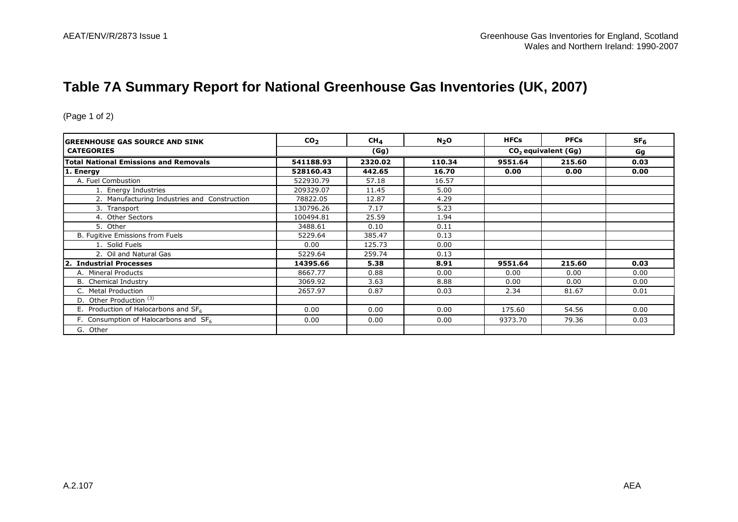# **Table 7A Summary Report for National Greenhouse Gas Inventories (UK, 2007)**

| IGREENHOUSE GAS SOURCE AND SINK                   | CO <sub>2</sub> | CH <sub>4</sub> | N <sub>2</sub> O | <b>HFCs</b> | <b>PFCs</b>           | SF <sub>6</sub> |
|---------------------------------------------------|-----------------|-----------------|------------------|-------------|-----------------------|-----------------|
| <b>CATEGORIES</b>                                 |                 | (Gg)            |                  |             | $CO2$ equivalent (Gg) |                 |
| <b>Total National Emissions and Removals</b>      | 541188.93       | 2320.02         | 110.34           | 9551.64     | 215.60                | 0.03            |
| 1. Energy                                         | 528160.43       | 442.65          | 16.70            | 0.00        | 0.00                  | 0.00            |
| A. Fuel Combustion                                | 522930.79       | 57.18           | 16.57            |             |                       |                 |
| 1. Energy Industries                              | 209329.07       | 11.45           | 5.00             |             |                       |                 |
| 2. Manufacturing Industries and Construction      | 78822.05        | 12.87           | 4.29             |             |                       |                 |
| 3. Transport                                      | 130796.26       | 7.17            | 5.23             |             |                       |                 |
| 4. Other Sectors                                  | 100494.81       | 25.59           | 1.94             |             |                       |                 |
| 5. Other                                          | 3488.61         | 0.10            | 0.11             |             |                       |                 |
| B. Fugitive Emissions from Fuels                  | 5229.64         | 385.47          | 0.13             |             |                       |                 |
| 1. Solid Fuels                                    | 0.00            | 125.73          | 0.00             |             |                       |                 |
| 2. Oil and Natural Gas                            | 5229.64         | 259.74          | 0.13             |             |                       |                 |
| 2. Industrial Processes                           | 14395.66        | 5.38            | 8.91             | 9551.64     | 215.60                | 0.03            |
| A. Mineral Products                               | 8667.77         | 0.88            | 0.00             | 0.00        | 0.00                  | 0.00            |
| B. Chemical Industry                              | 3069.92         | 3.63            | 8.88             | 0.00        | 0.00                  | 0.00            |
| C. Metal Production                               | 2657.97         | 0.87            | 0.03             | 2.34        | 81.67                 | 0.01            |
| D. Other Production <sup>(3)</sup>                |                 |                 |                  |             |                       |                 |
| E. Production of Halocarbons and $SF6$            | 0.00            | 0.00            | 0.00             | 175.60      | 54.56                 | 0.00            |
| F. Consumption of Halocarbons and SF <sub>6</sub> | 0.00            | 0.00            | 0.00             | 9373.70     | 79.36                 | 0.03            |
| G. Other                                          |                 |                 |                  |             |                       |                 |